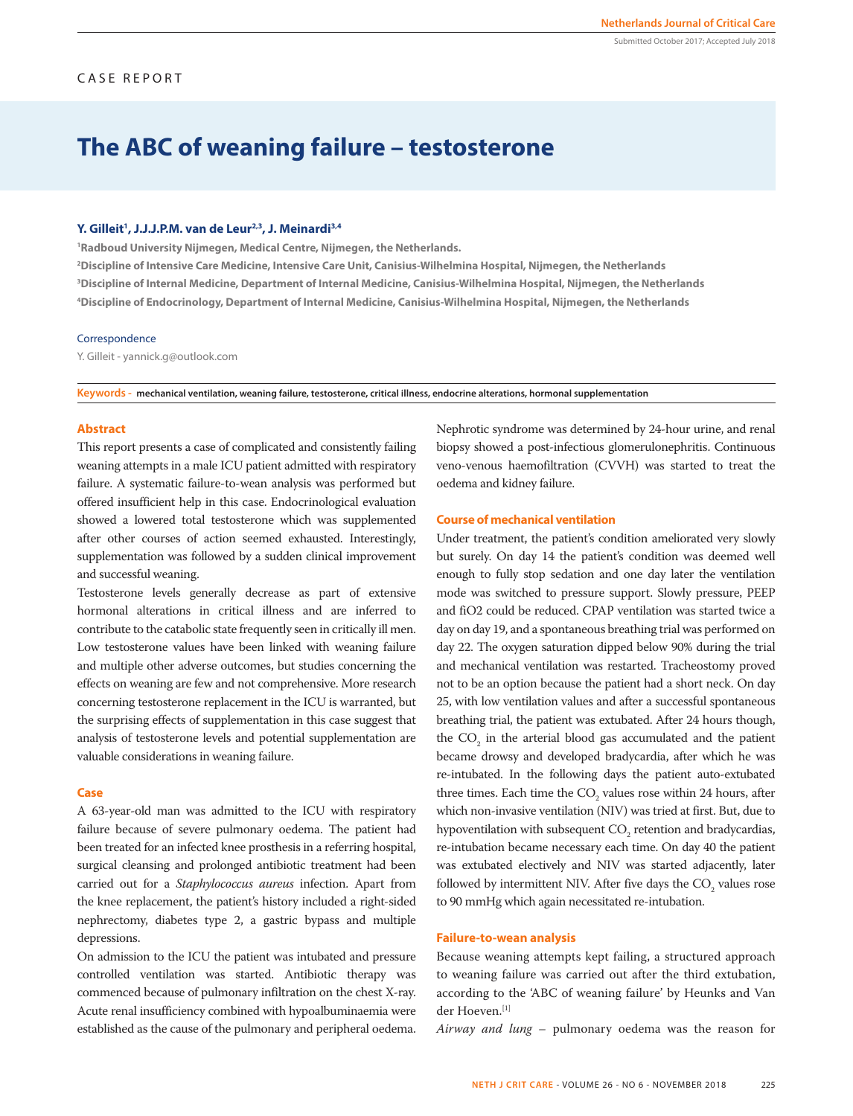# **The ABC of weaning failure – testosterone**

### **Y. Gilleit1 , J.J.J.P.M. van de Leur2,3, J. Meinardi3,4**

**1 Radboud University Nijmegen, Medical Centre, Nijmegen, the Netherlands.**

**2 Discipline of Intensive Care Medicine, Intensive Care Unit, Canisius-Wilhelmina Hospital, Nijmegen, the Netherlands 3 Discipline of Internal Medicine, Department of Internal Medicine, Canisius-Wilhelmina Hospital, Nijmegen, the Netherlands 4 Discipline of Endocrinology, Department of Internal Medicine, Canisius-Wilhelmina Hospital, Nijmegen, the Netherlands**

#### Correspondence

Y. Gilleit - yannick.g@outlook.com

**Keywords - mechanical ventilation, weaning failure, testosterone, critical illness, endocrine alterations, hormonal supplementation**

## **Abstract**

This report presents a case of complicated and consistently failing weaning attempts in a male ICU patient admitted with respiratory failure. A systematic failure-to-wean analysis was performed but offered insufficient help in this case. Endocrinological evaluation showed a lowered total testosterone which was supplemented after other courses of action seemed exhausted. Interestingly, supplementation was followed by a sudden clinical improvement and successful weaning.

Testosterone levels generally decrease as part of extensive hormonal alterations in critical illness and are inferred to contribute to the catabolic state frequently seen in critically ill men. Low testosterone values have been linked with weaning failure and multiple other adverse outcomes, but studies concerning the effects on weaning are few and not comprehensive. More research concerning testosterone replacement in the ICU is warranted, but the surprising effects of supplementation in this case suggest that analysis of testosterone levels and potential supplementation are valuable considerations in weaning failure.

#### **Case**

A 63-year-old man was admitted to the ICU with respiratory failure because of severe pulmonary oedema. The patient had been treated for an infected knee prosthesis in a referring hospital, surgical cleansing and prolonged antibiotic treatment had been carried out for a *Staphylococcus aureus* infection. Apart from the knee replacement, the patient's history included a right-sided nephrectomy, diabetes type 2, a gastric bypass and multiple depressions.

On admission to the ICU the patient was intubated and pressure controlled ventilation was started. Antibiotic therapy was commenced because of pulmonary infiltration on the chest X-ray. Acute renal insufficiency combined with hypoalbuminaemia were established as the cause of the pulmonary and peripheral oedema. Nephrotic syndrome was determined by 24-hour urine, and renal biopsy showed a post-infectious glomerulonephritis. Continuous veno-venous haemofiltration (CVVH) was started to treat the oedema and kidney failure.

### **Course of mechanical ventilation**

Under treatment, the patient's condition ameliorated very slowly but surely. On day 14 the patient's condition was deemed well enough to fully stop sedation and one day later the ventilation mode was switched to pressure support. Slowly pressure, PEEP and fiO2 could be reduced. CPAP ventilation was started twice a day on day 19, and a spontaneous breathing trial was performed on day 22. The oxygen saturation dipped below 90% during the trial and mechanical ventilation was restarted. Tracheostomy proved not to be an option because the patient had a short neck. On day 25, with low ventilation values and after a successful spontaneous breathing trial, the patient was extubated. After 24 hours though, the  $CO<sub>2</sub>$  in the arterial blood gas accumulated and the patient became drowsy and developed bradycardia, after which he was re-intubated. In the following days the patient auto-extubated three times. Each time the  $CO_2$  values rose within 24 hours, after which non-invasive ventilation (NIV) was tried at first. But, due to hypoventilation with subsequent  $CO_2$  retention and bradycardias, re-intubation became necessary each time. On day 40 the patient was extubated electively and NIV was started adjacently, later followed by intermittent NIV. After five days the  $CO<sub>2</sub>$  values rose to 90 mmHg which again necessitated re-intubation.

#### **Failure-to-wean analysis**

Because weaning attempts kept failing, a structured approach to weaning failure was carried out after the third extubation, according to the 'ABC of weaning failure' by Heunks and Van der Hoeven.[1]

*Airway and lung* – pulmonary oedema was the reason for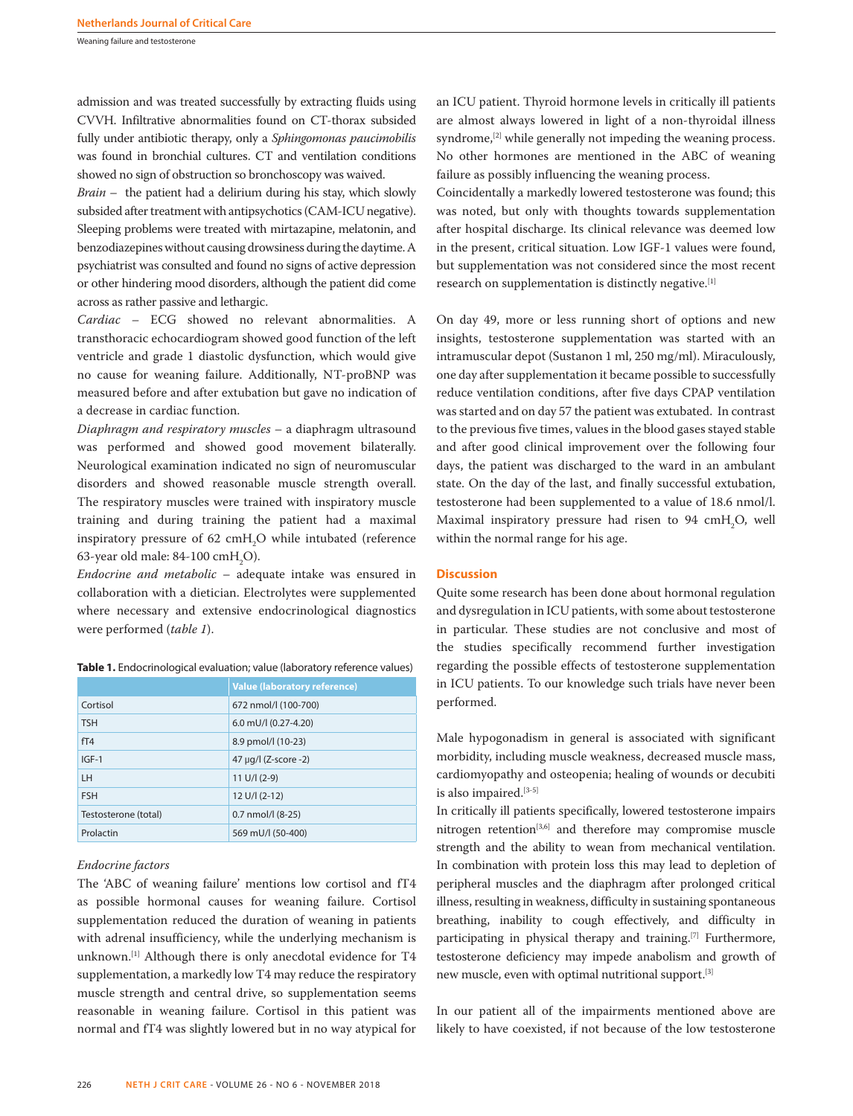Weaning failure and testosterone

admission and was treated successfully by extracting fluids using CVVH. Infiltrative abnormalities found on CT-thorax subsided fully under antibiotic therapy, only a *Sphingomonas paucimobilis* was found in bronchial cultures. CT and ventilation conditions showed no sign of obstruction so bronchoscopy was waived.

*Brain* – the patient had a delirium during his stay, which slowly subsided after treatment with antipsychotics (CAM-ICU negative). Sleeping problems were treated with mirtazapine, melatonin, and benzodiazepines without causing drowsiness during the daytime. A psychiatrist was consulted and found no signs of active depression or other hindering mood disorders, although the patient did come across as rather passive and lethargic.

*Cardiac* – ECG showed no relevant abnormalities. A transthoracic echocardiogram showed good function of the left ventricle and grade 1 diastolic dysfunction, which would give no cause for weaning failure. Additionally, NT-proBNP was measured before and after extubation but gave no indication of a decrease in cardiac function.

*Diaphragm and respiratory muscles* – a diaphragm ultrasound was performed and showed good movement bilaterally. Neurological examination indicated no sign of neuromuscular disorders and showed reasonable muscle strength overall. The respiratory muscles were trained with inspiratory muscle training and during training the patient had a maximal inspiratory pressure of 62  $\text{cm}H_{2}$ O while intubated (reference 63-year old male: 84-100  $\text{cmH}_{\text{2}}\text{O}$ ).

*Endocrine and metabolic* – adequate intake was ensured in collaboration with a dietician. Electrolytes were supplemented where necessary and extensive endocrinological diagnostics were performed (*table 1*).

|                      | Value (laboratory reference) |
|----------------------|------------------------------|
| Cortisol             | 672 nmol/l (100-700)         |
| <b>TSH</b>           | $6.0$ mU/l $(0.27 - 4.20)$   |
| fT4                  | 8.9 pmol/l (10-23)           |
| $IGF-1$              | 47 µg/l (Z-score -2)         |
| LH                   | $11 U/I (2-9)$               |
| <b>FSH</b>           | $12 \text{ U/l} (2-12)$      |
| Testosterone (total) | $0.7$ nmol/l $(8-25)$        |
| Prolactin            | 569 mU/l (50-400)            |

**Table 1.** Endocrinological evaluation; value (laboratory reference values)

# *Endocrine factors*

The 'ABC of weaning failure' mentions low cortisol and fT4 as possible hormonal causes for weaning failure. Cortisol supplementation reduced the duration of weaning in patients with adrenal insufficiency, while the underlying mechanism is unknown.[1] Although there is only anecdotal evidence for T4 supplementation, a markedly low T4 may reduce the respiratory muscle strength and central drive, so supplementation seems reasonable in weaning failure. Cortisol in this patient was normal and fT4 was slightly lowered but in no way atypical for

an ICU patient. Thyroid hormone levels in critically ill patients are almost always lowered in light of a non-thyroidal illness syndrome,<sup>[2]</sup> while generally not impeding the weaning process. No other hormones are mentioned in the ABC of weaning failure as possibly influencing the weaning process.

Coincidentally a markedly lowered testosterone was found; this was noted, but only with thoughts towards supplementation after hospital discharge. Its clinical relevance was deemed low in the present, critical situation. Low IGF-1 values were found, but supplementation was not considered since the most recent research on supplementation is distinctly negative.[1]

On day 49, more or less running short of options and new insights, testosterone supplementation was started with an intramuscular depot (Sustanon 1 ml, 250 mg/ml). Miraculously, one day after supplementation it became possible to successfully reduce ventilation conditions, after five days CPAP ventilation was started and on day 57 the patient was extubated. In contrast to the previous five times, values in the blood gases stayed stable and after good clinical improvement over the following four days, the patient was discharged to the ward in an ambulant state. On the day of the last, and finally successful extubation, testosterone had been supplemented to a value of 18.6 nmol/l. Maximal inspiratory pressure had risen to 94  $\text{cm}H_{2}O$ , well within the normal range for his age.

# **Discussion**

Quite some research has been done about hormonal regulation and dysregulation in ICU patients, with some about testosterone in particular. These studies are not conclusive and most of the studies specifically recommend further investigation regarding the possible effects of testosterone supplementation in ICU patients. To our knowledge such trials have never been performed.

Male hypogonadism in general is associated with significant morbidity, including muscle weakness, decreased muscle mass, cardiomyopathy and osteopenia; healing of wounds or decubiti is also impaired.[3-5]

In critically ill patients specifically, lowered testosterone impairs nitrogen retention<sup>[3,6]</sup> and therefore may compromise muscle strength and the ability to wean from mechanical ventilation. In combination with protein loss this may lead to depletion of peripheral muscles and the diaphragm after prolonged critical illness, resulting in weakness, difficulty in sustaining spontaneous breathing, inability to cough effectively, and difficulty in participating in physical therapy and training.<sup>[7]</sup> Furthermore, testosterone deficiency may impede anabolism and growth of new muscle, even with optimal nutritional support.[3]

In our patient all of the impairments mentioned above are likely to have coexisted, if not because of the low testosterone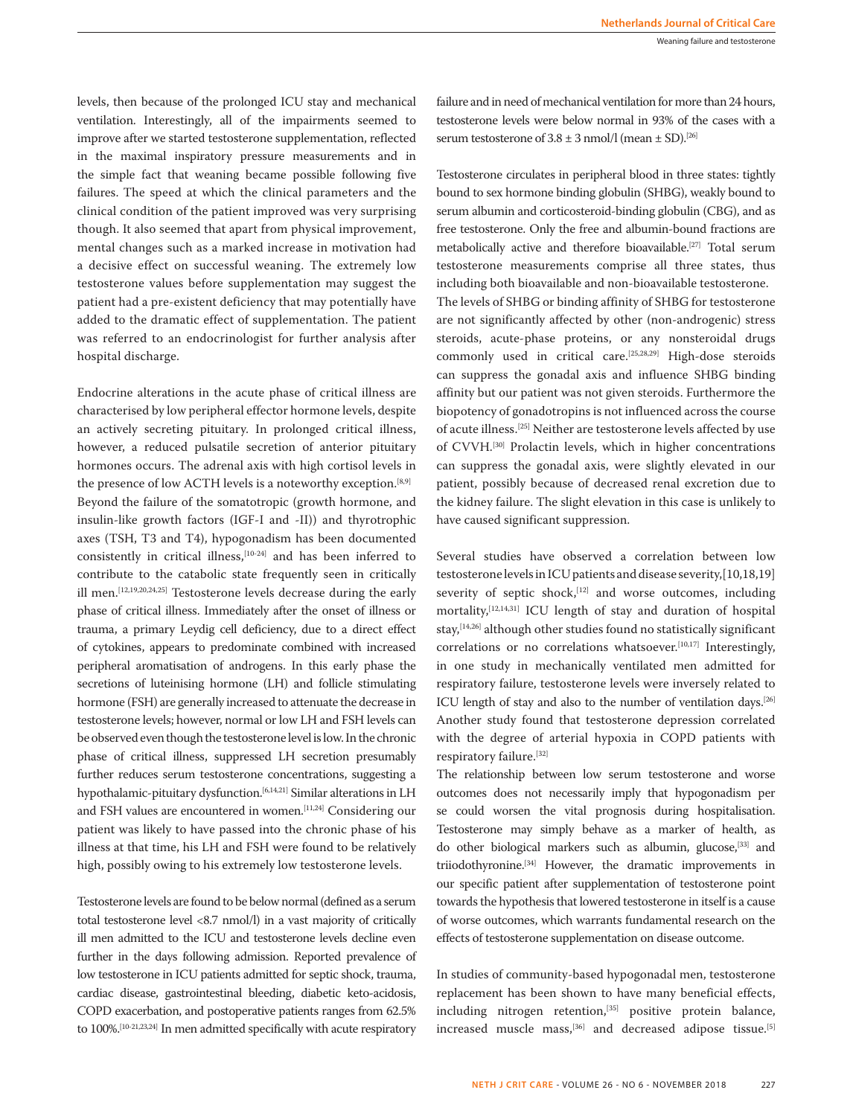levels, then because of the prolonged ICU stay and mechanical ventilation. Interestingly, all of the impairments seemed to improve after we started testosterone supplementation, reflected in the maximal inspiratory pressure measurements and in the simple fact that weaning became possible following five failures. The speed at which the clinical parameters and the clinical condition of the patient improved was very surprising though. It also seemed that apart from physical improvement, mental changes such as a marked increase in motivation had a decisive effect on successful weaning. The extremely low testosterone values before supplementation may suggest the patient had a pre-existent deficiency that may potentially have added to the dramatic effect of supplementation. The patient was referred to an endocrinologist for further analysis after hospital discharge.

Endocrine alterations in the acute phase of critical illness are characterised by low peripheral effector hormone levels, despite an actively secreting pituitary. In prolonged critical illness, however, a reduced pulsatile secretion of anterior pituitary hormones occurs. The adrenal axis with high cortisol levels in the presence of low ACTH levels is a noteworthy exception.<sup>[8,9]</sup> Beyond the failure of the somatotropic (growth hormone, and insulin-like growth factors (IGF-I and -II)) and thyrotrophic axes (TSH, T3 and T4), hypogonadism has been documented consistently in critical illness,<sup>[10-24]</sup> and has been inferred to contribute to the catabolic state frequently seen in critically ill men.[12,19,20,24,25] Testosterone levels decrease during the early phase of critical illness. Immediately after the onset of illness or trauma, a primary Leydig cell deficiency, due to a direct effect of cytokines, appears to predominate combined with increased peripheral aromatisation of androgens. In this early phase the secretions of luteinising hormone (LH) and follicle stimulating hormone (FSH) are generally increased to attenuate the decrease in testosterone levels; however, normal or low LH and FSH levels can be observed even though the testosterone level is low. In the chronic phase of critical illness, suppressed LH secretion presumably further reduces serum testosterone concentrations, suggesting a hypothalamic-pituitary dysfunction.<sup>[6,14,21]</sup> Similar alterations in LH and FSH values are encountered in women.[11,24] Considering our patient was likely to have passed into the chronic phase of his illness at that time, his LH and FSH were found to be relatively high, possibly owing to his extremely low testosterone levels.

Testosterone levels are found to be below normal (defined as a serum total testosterone level <8.7 nmol/l) in a vast majority of critically ill men admitted to the ICU and testosterone levels decline even further in the days following admission. Reported prevalence of low testosterone in ICU patients admitted for septic shock, trauma, cardiac disease, gastrointestinal bleeding, diabetic keto-acidosis, COPD exacerbation, and postoperative patients ranges from 62.5% to 100%.<sup>[10-21,23,24]</sup> In men admitted specifically with acute respiratory failure and in need of mechanical ventilation for more than 24 hours, testosterone levels were below normal in 93% of the cases with a serum testosterone of  $3.8 \pm 3$  nmol/l (mean  $\pm$  SD).<sup>[26]</sup>

Testosterone circulates in peripheral blood in three states: tightly bound to sex hormone binding globulin (SHBG), weakly bound to serum albumin and corticosteroid-binding globulin (CBG), and as free testosterone. Only the free and albumin-bound fractions are metabolically active and therefore bioavailable.[27] Total serum testosterone measurements comprise all three states, thus including both bioavailable and non-bioavailable testosterone. The levels of SHBG or binding affinity of SHBG for testosterone are not significantly affected by other (non-androgenic) stress steroids, acute-phase proteins, or any nonsteroidal drugs commonly used in critical care.[25,28,29] High-dose steroids can suppress the gonadal axis and influence SHBG binding affinity but our patient was not given steroids. Furthermore the biopotency of gonadotropins is not influenced across the course of acute illness.[25] Neither are testosterone levels affected by use of CVVH.[30] Prolactin levels, which in higher concentrations can suppress the gonadal axis, were slightly elevated in our patient, possibly because of decreased renal excretion due to the kidney failure. The slight elevation in this case is unlikely to have caused significant suppression.

Several studies have observed a correlation between low testosterone levels in ICU patients and disease severity,[10,18,19] severity of septic shock,<sup>[12]</sup> and worse outcomes, including mortality,<sup>[12,14,31]</sup> ICU length of stay and duration of hospital stay,[14,26] although other studies found no statistically significant correlations or no correlations whatsoever.<sup>[10,17]</sup> Interestingly, in one study in mechanically ventilated men admitted for respiratory failure, testosterone levels were inversely related to ICU length of stay and also to the number of ventilation days.[26] Another study found that testosterone depression correlated with the degree of arterial hypoxia in COPD patients with respiratory failure.<sup>[32]</sup>

The relationship between low serum testosterone and worse outcomes does not necessarily imply that hypogonadism per se could worsen the vital prognosis during hospitalisation. Testosterone may simply behave as a marker of health, as do other biological markers such as albumin, glucose,[33] and triiodothyronine.[34] However, the dramatic improvements in our specific patient after supplementation of testosterone point towards the hypothesis that lowered testosterone in itself is a cause of worse outcomes, which warrants fundamental research on the effects of testosterone supplementation on disease outcome.

In studies of community-based hypogonadal men, testosterone replacement has been shown to have many beneficial effects, including nitrogen retention,<sup>[35]</sup> positive protein balance, increased muscle mass,<sup>[36]</sup> and decreased adipose tissue.<sup>[5]</sup>